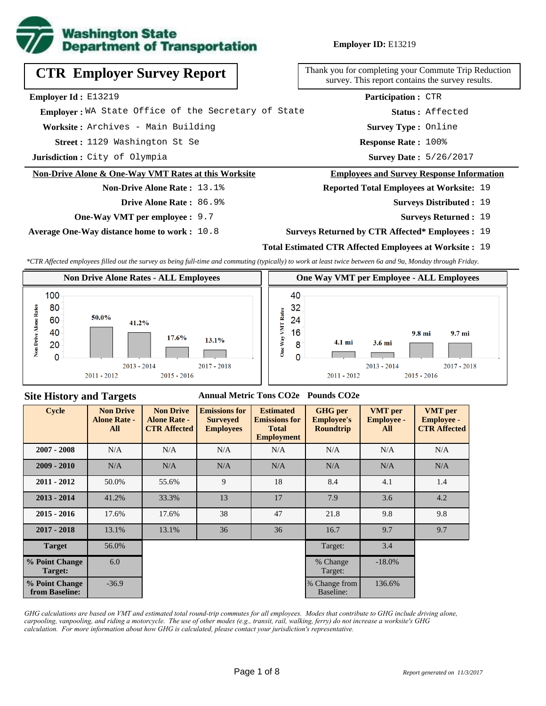

# **CTR Employer Survey Report**

**Employer Id :** E13219

 **Employer :** WA State Office of the Secretary of State

**Worksite :** Archives - Main Building

1129 Washington St Se **Response Rate : Street :**

**Jurisdiction :** City of Olympia

#### **Non-Drive Alone & One-Way VMT Rates at this Worksite**

# **Non-Drive Alone Rate :** 13.1%

**Drive Alone Rate :** 86.9%

**One-Way VMT per employee :** 9.7

**Average One-Way distance home to work :** 10.8

Thank you for completing your Commute Trip Reduction survey. This report contains the survey results.

> Response Rate: 100% **Survey Type :** Online **Status :** Affected **Participation :** CTR

Survey Date: 5/26/2017

#### **Employees and Survey Response Information**

**Reported Total Employees at Worksite:** 19

- Surveys Distributed : 19
	- **Surveys Returned :** 19

#### **Surveys Returned by CTR Affected\* Employees :** 19

### **Total Estimated CTR Affected Employees at Worksite :** 19

*\*CTR Affected employees filled out the survey as being full-time and commuting (typically) to work at least twice between 6a and 9a, Monday through Friday.*



### **Site History and Targets**

#### **Annual Metric Tons CO2e Pounds CO2e**

| <b>Cycle</b>                     | <b>Non Drive</b><br><b>Alone Rate -</b><br>All | <b>Non Drive</b><br><b>Alone Rate -</b><br><b>CTR Affected</b> | <b>Emissions for</b><br><b>Surveyed</b><br><b>Employees</b> | <b>Estimated</b><br><b>Emissions for</b><br><b>Total</b><br><b>Employment</b> | <b>GHG</b> per<br><b>Employee's</b><br><b>Roundtrip</b> | <b>VMT</b> per<br><b>Employee -</b><br>All | <b>VMT</b> per<br><b>Employee -</b><br><b>CTR Affected</b> |
|----------------------------------|------------------------------------------------|----------------------------------------------------------------|-------------------------------------------------------------|-------------------------------------------------------------------------------|---------------------------------------------------------|--------------------------------------------|------------------------------------------------------------|
| $2007 - 2008$                    | N/A                                            | N/A                                                            | N/A                                                         | N/A                                                                           | N/A                                                     | N/A                                        | N/A                                                        |
| $2009 - 2010$                    | N/A                                            | N/A                                                            | N/A                                                         | N/A                                                                           | N/A                                                     | N/A                                        | N/A                                                        |
| $2011 - 2012$                    | 50.0%                                          | 55.6%                                                          | 9                                                           | 18                                                                            | 8.4                                                     | 4.1                                        | 1.4                                                        |
| $2013 - 2014$                    | 41.2%                                          | 33.3%                                                          | 13                                                          | 17                                                                            | 7.9                                                     | 3.6                                        | 4.2                                                        |
| $2015 - 2016$                    | 17.6%                                          | 17.6%                                                          | 38                                                          | 47                                                                            | 21.8                                                    | 9.8                                        | 9.8                                                        |
| $2017 - 2018$                    | 13.1%                                          | 13.1%                                                          | 36                                                          | 36                                                                            | 16.7                                                    | 9.7                                        | 9.7                                                        |
| <b>Target</b>                    | 56.0%                                          |                                                                |                                                             |                                                                               | Target:                                                 | 3.4                                        |                                                            |
| % Point Change<br>Target:        | 6.0                                            |                                                                |                                                             |                                                                               | % Change<br>Target:                                     | $-18.0\%$                                  |                                                            |
| % Point Change<br>from Baseline: | $-36.9$                                        |                                                                |                                                             |                                                                               | % Change from<br>Baseline:                              | 136.6%                                     |                                                            |

*GHG calculations are based on VMT and estimated total round-trip commutes for all employees. Modes that contribute to GHG include driving alone, carpooling, vanpooling, and riding a motorcycle. The use of other modes (e.g., transit, rail, walking, ferry) do not increase a worksite's GHG calculation. For more information about how GHG is calculated, please contact your jurisdiction's representative.*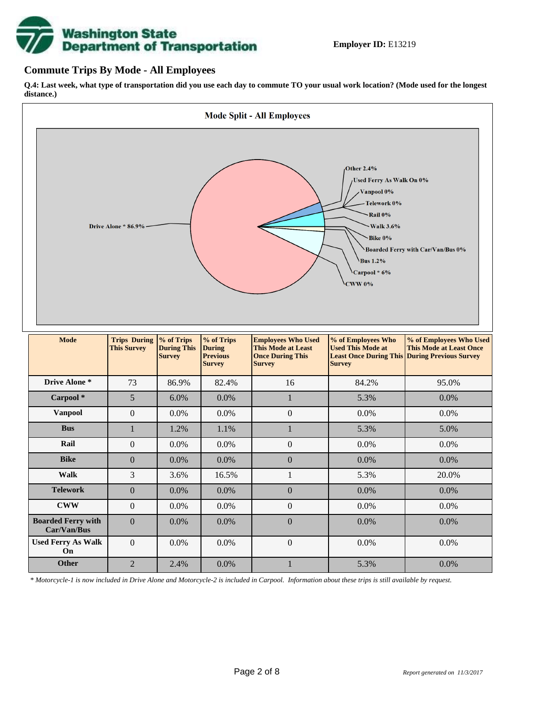

### **Commute Trips By Mode - All Employees**

**Q.4: Last week, what type of transportation did you use each day to commute TO your usual work location? (Mode used for the longest distance.)**



*\* Motorcycle-1 is now included in Drive Alone and Motorcycle-2 is included in Carpool. Information about these trips is still available by request.*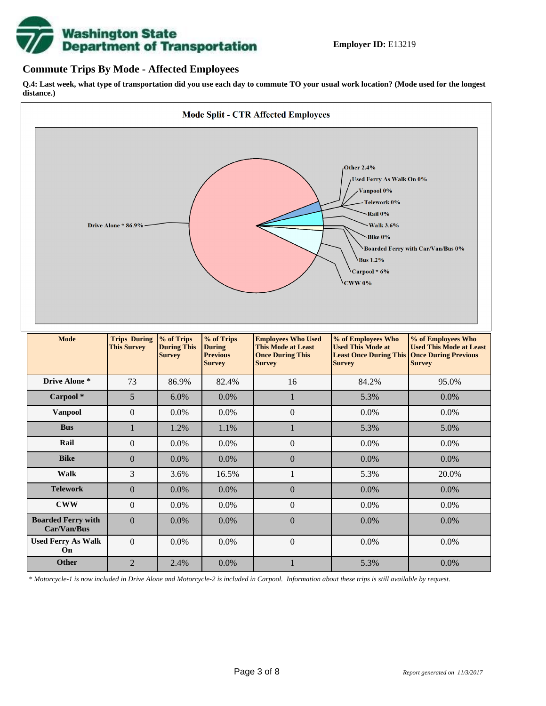

### **Commute Trips By Mode - Affected Employees**

**Q.4: Last week, what type of transportation did you use each day to commute TO your usual work location? (Mode used for the longest distance.)**



*\* Motorcycle-1 is now included in Drive Alone and Motorcycle-2 is included in Carpool. Information about these trips is still available by request.*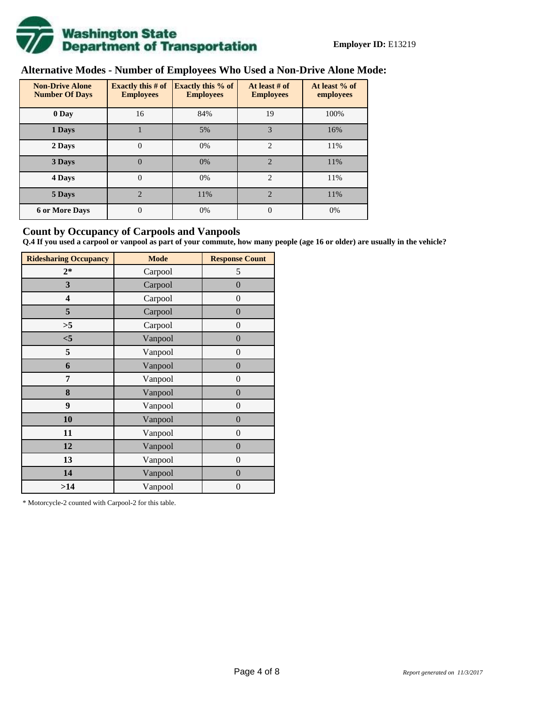

# **Alternative Modes - Number of Employees Who Used a Non-Drive Alone Mode:**

| <b>Non-Drive Alone</b><br><b>Number Of Days</b> | Exactly this $#$ of<br><b>Employees</b> | <b>Exactly this % of</b><br><b>Employees</b> | At least # of<br><b>Employees</b> | At least % of<br>employees |  |  |
|-------------------------------------------------|-----------------------------------------|----------------------------------------------|-----------------------------------|----------------------------|--|--|
| 0 Day                                           | 16                                      | 84%                                          | 19                                | 100%                       |  |  |
| 1 Days                                          |                                         | 5%                                           | 3                                 | 16%                        |  |  |
| 2 Days                                          | $\mathbf{0}$                            | 0%                                           | $\overline{2}$                    | 11%                        |  |  |
| 3 Days                                          | $\theta$                                | 0%                                           | $\mathfrak{D}$                    | 11%                        |  |  |
| 4 Days                                          | $\Omega$                                | 0%                                           | $\overline{2}$                    | 11%                        |  |  |
| 5 Days                                          | $\overline{2}$                          | 11%                                          | $\overline{2}$                    | 11%                        |  |  |
| <b>6 or More Days</b>                           | 0                                       | 0%                                           | $\Omega$                          | 0%                         |  |  |

## **Count by Occupancy of Carpools and Vanpools**

**Q.4 If you used a carpool or vanpool as part of your commute, how many people (age 16 or older) are usually in the vehicle?**

| <b>Ridesharing Occupancy</b> | <b>Mode</b> | <b>Response Count</b> |
|------------------------------|-------------|-----------------------|
| $2*$                         | Carpool     | 5                     |
| 3                            | Carpool     | $\boldsymbol{0}$      |
| 4                            | Carpool     | $\theta$              |
| 5                            | Carpool     | $\overline{0}$        |
| >5                           | Carpool     | $\overline{0}$        |
| $<$ 5                        | Vanpool     | $\overline{0}$        |
| 5                            | Vanpool     | $\overline{0}$        |
| 6                            | Vanpool     | $\boldsymbol{0}$      |
| 7                            | Vanpool     | $\overline{0}$        |
| 8                            | Vanpool     | $\boldsymbol{0}$      |
| 9                            | Vanpool     | $\overline{0}$        |
| 10                           | Vanpool     | $\overline{0}$        |
| 11                           | Vanpool     | $\boldsymbol{0}$      |
| 12                           | Vanpool     | $\boldsymbol{0}$      |
| 13                           | Vanpool     | $\boldsymbol{0}$      |
| 14                           | Vanpool     | $\overline{0}$        |
| >14                          | Vanpool     | $\boldsymbol{0}$      |

\* Motorcycle-2 counted with Carpool-2 for this table.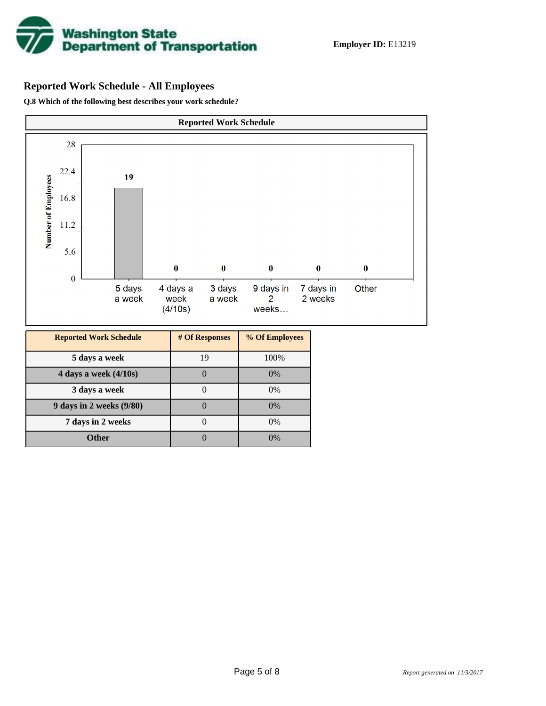

# **Reported Work Schedule - All Employees**

**Q.8 Which of the following best describes your work schedule?**

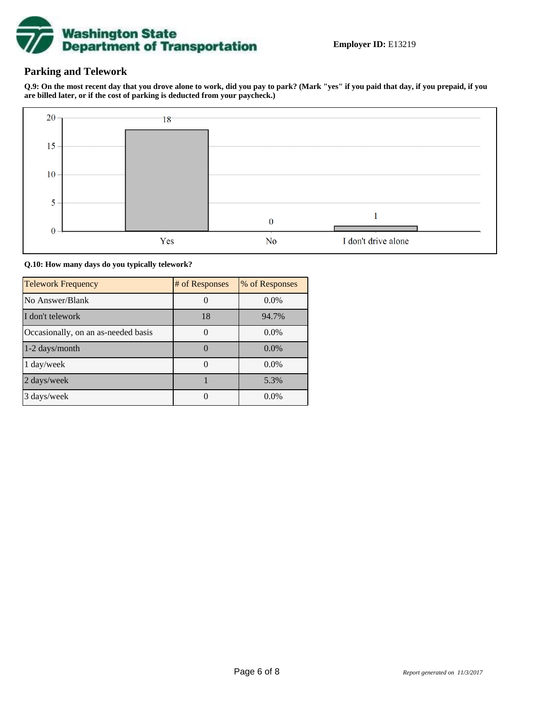

## **Parking and Telework**

**Q.9: On the most recent day that you drove alone to work, did you pay to park? (Mark "yes" if you paid that day, if you prepaid, if you are billed later, or if the cost of parking is deducted from your paycheck.)**



**Q.10: How many days do you typically telework?**

| <b>Telework Frequency</b>           | # of Responses | % of Responses |
|-------------------------------------|----------------|----------------|
| No Answer/Blank                     |                | $0.0\%$        |
| I don't telework                    | 18             | 94.7%          |
| Occasionally, on an as-needed basis |                | $0.0\%$        |
| $1-2$ days/month                    |                | $0.0\%$        |
| $1 \text{ day/week}$                |                | $0.0\%$        |
| 2 days/week                         |                | 5.3%           |
| 3 days/week                         |                | $0.0\%$        |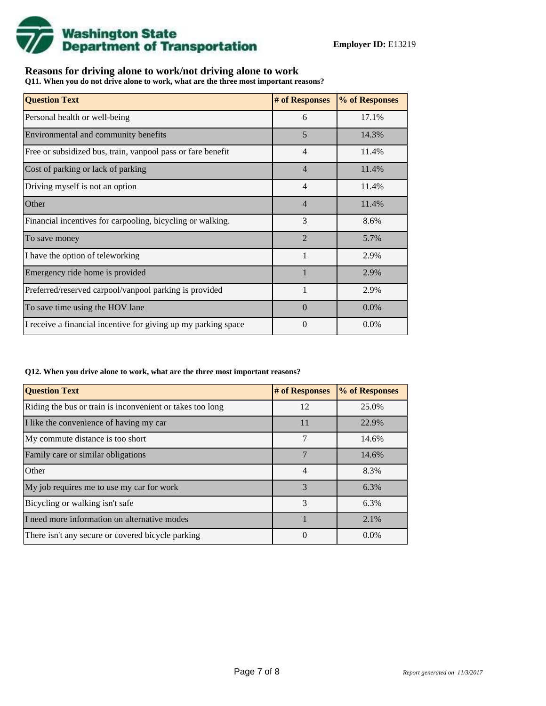

# **Reasons for driving alone to work/not driving alone to work**

**Q11. When you do not drive alone to work, what are the three most important reasons?**

| <b>Question Text</b>                                           | # of Responses           | % of Responses |
|----------------------------------------------------------------|--------------------------|----------------|
| Personal health or well-being                                  | 6                        | 17.1%          |
| Environmental and community benefits                           | 5                        | 14.3%          |
| Free or subsidized bus, train, vanpool pass or fare benefit    | $\overline{4}$           | 11.4%          |
| Cost of parking or lack of parking                             | $\overline{4}$           | 11.4%          |
| Driving myself is not an option                                | $\overline{4}$           | 11.4%          |
| Other                                                          | $\overline{4}$           | 11.4%          |
| Financial incentives for carpooling, bicycling or walking.     | 3                        | 8.6%           |
| To save money                                                  | $\overline{\mathcal{L}}$ | 5.7%           |
| I have the option of teleworking                               | $\mathbf{1}$             | 2.9%           |
| Emergency ride home is provided                                |                          | 2.9%           |
| Preferred/reserved carpool/vanpool parking is provided         |                          | 2.9%           |
| To save time using the HOV lane                                | $\Omega$                 | $0.0\%$        |
| I receive a financial incentive for giving up my parking space | $\theta$                 | 0.0%           |

#### **Q12. When you drive alone to work, what are the three most important reasons?**

| <b>Question Text</b>                                      | # of Responses | % of Responses |
|-----------------------------------------------------------|----------------|----------------|
| Riding the bus or train is inconvenient or takes too long | 12             | 25.0%          |
| I like the convenience of having my car                   | 11             | 22.9%          |
| My commute distance is too short                          | 7              | 14.6%          |
| Family care or similar obligations                        | 7              | 14.6%          |
| Other                                                     | 4              | 8.3%           |
| My job requires me to use my car for work                 | 3              | 6.3%           |
| Bicycling or walking isn't safe                           | 3              | 6.3%           |
| I need more information on alternative modes              |                | 2.1%           |
| There isn't any secure or covered bicycle parking         | $\theta$       | $0.0\%$        |